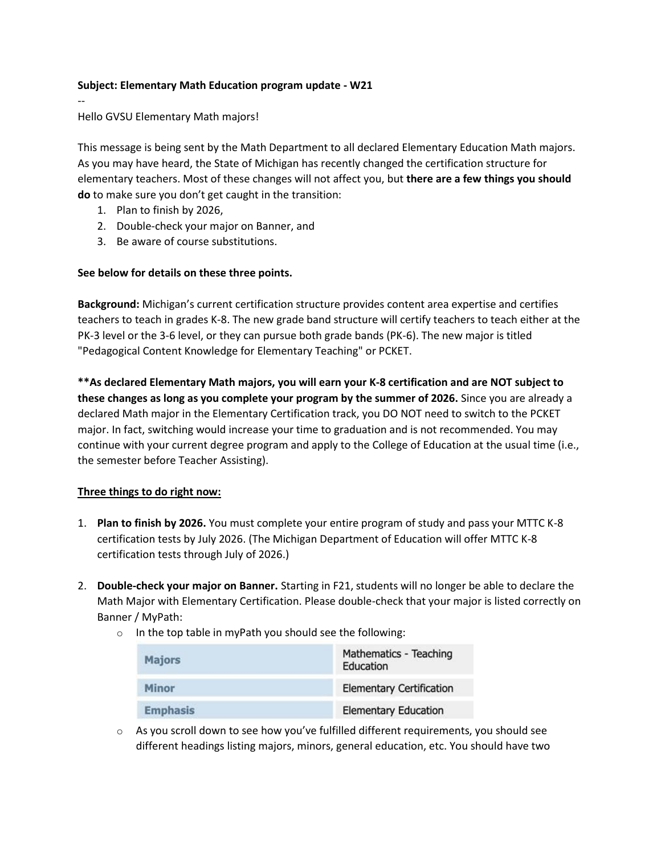## **Subject: Elementary Math Education program update - W21**

Hello GVSU Elementary Math majors!

--

This message is being sent by the Math Department to all declared Elementary Education Math majors. As you may have heard, the State of Michigan has recently changed the certification structure for elementary teachers. Most of these changes will not affect you, but **there are a few things you should do** to make sure you don't get caught in the transition:

- 1. Plan to finish by 2026,
- 2. Double-check your major on Banner, and
- 3. Be aware of course substitutions.

## **See below for details on these three points.**

**Background:** Michigan's current certification structure provides content area expertise and certifies teachers to teach in grades K-8. The new grade band structure will certify teachers to teach either at the PK-3 level or the 3-6 level, or they can pursue both grade bands (PK-6). The new major is titled "Pedagogical Content Knowledge for Elementary Teaching" or PCKET.

**\*\*As declared Elementary Math majors, you will earn your K-8 certification and are NOT subject to these changes as long as you complete your program by the summer of 2026.** Since you are already a declared Math major in the Elementary Certification track, you DO NOT need to switch to the PCKET major. In fact, switching would increase your time to graduation and is not recommended. You may continue with your current degree program and apply to the College of Education at the usual time (i.e., the semester before Teacher Assisting).

## **Three things to do right now:**

- 1. **Plan to finish by 2026.** You must complete your entire program of study and pass your MTTC K-8 certification tests by July 2026. (The Michigan Department of Education will offer MTTC K-8 certification tests through July of 2026.)
- 2. **Double-check your major on Banner.** Starting in F21, students will no longer be able to declare the Math Major with Elementary Certification. Please double-check that your major is listed correctly on Banner / MyPath:
	- $\circ$  In the top table in myPath you should see the following:

| <b>Majors</b>   | Mathematics - Teaching<br>Education |
|-----------------|-------------------------------------|
| Minor           | <b>Elementary Certification</b>     |
| <b>Emphasis</b> | <b>Elementary Education</b>         |

 $\circ$  As you scroll down to see how you've fulfilled different requirements, you should see different headings listing majors, minors, general education, etc. You should have two